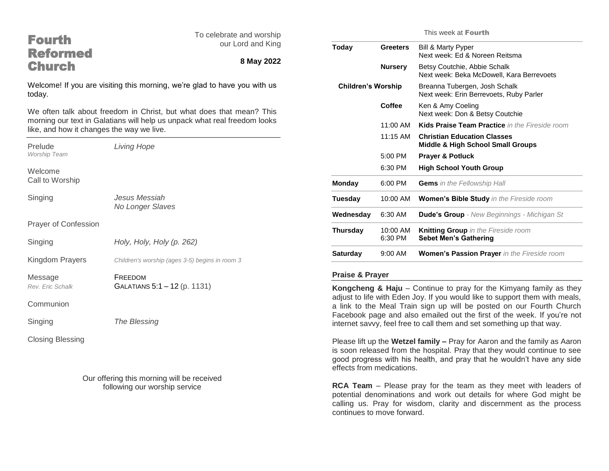| <b>Fourth</b><br><b>Reformed</b>          | To celebrate and worship<br>our Lord and King                                                                                                     | T)                        |
|-------------------------------------------|---------------------------------------------------------------------------------------------------------------------------------------------------|---------------------------|
| <b>Church</b>                             | 8 May 2022                                                                                                                                        |                           |
| today.                                    | Welcome! If you are visiting this morning, we're glad to have you with us                                                                         |                           |
| like, and how it changes the way we live. | We often talk about freedom in Christ, but what does that mean? This<br>morning our text in Galatians will help us unpack what real freedom looks |                           |
| Prelude<br>Worship Team                   | <b>Living Hope</b>                                                                                                                                |                           |
| Welcome<br>Call to Worship                |                                                                                                                                                   | M                         |
| Singing                                   | Jesus Messiah<br>No Longer Slaves                                                                                                                 | T)<br>W                   |
| Prayer of Confession                      |                                                                                                                                                   | T                         |
| Singing                                   | Holy, Holy, Holy (p. 262)                                                                                                                         |                           |
| Kingdom Prayers                           | Children's worship (ages 3-5) begins in room 3                                                                                                    | S                         |
| Message<br>Rev. Eric Schalk               | FREEDOM<br>GALATIANS 5:1 - 12 (p. 1131)                                                                                                           | P<br>K                    |
| Communion                                 |                                                                                                                                                   | a<br>a                    |
| Singing                                   | The Blessing                                                                                                                                      | F<br>in                   |
| <b>Closing Blessing</b>                   |                                                                                                                                                   | P<br>is<br>g <sub>'</sub> |

Our offering this morning will be received following our worship service

This week at Fourth

| Today                     | <b>Greeters</b>     | Bill & Marty Pyper<br>Next week: Ed & Noreen Reitsma                               |
|---------------------------|---------------------|------------------------------------------------------------------------------------|
|                           | <b>Nursery</b>      | Betsy Coutchie, Abbie Schalk<br>Next week: Beka McDowell, Kara Berrevoets          |
| <b>Children's Worship</b> |                     | Breanna Tubergen, Josh Schalk<br>Next week: Erin Berrevoets, Ruby Parler           |
|                           | Coffee              | Ken & Amy Coeling<br>Next week: Don & Betsy Coutchie                               |
|                           | 11:00 AM            | Kids Praise Team Practice in the Fireside room                                     |
|                           | 11:15 AM            | <b>Christian Education Classes</b><br><b>Middle &amp; High School Small Groups</b> |
|                           | $5:00$ PM           | <b>Prayer &amp; Potluck</b>                                                        |
|                           | 6:30 PM             | <b>High School Youth Group</b>                                                     |
| <b>Monday</b>             | 6:00 PM             | <b>Gems</b> in the Fellowship Hall                                                 |
| Tuesday                   | 10:00 AM            | <b>Women's Bible Study</b> in the Fireside room                                    |
| Wednesday                 | 6:30 AM             | <b>Dude's Group</b> - New Beginnings - Michigan St                                 |
| Thursday                  | 10:00 AM<br>6:30 PM | <b>Knitting Group</b> in the Fireside room<br><b>Sebet Men's Gathering</b>         |
| <b>Saturday</b>           | $9:00$ AM           | <b>Women's Passion Prayer</b> in the Fireside room                                 |
|                           |                     |                                                                                    |

# **Praise & Prayer**

**Kongcheng & Haju** – Continue to pray for the Kimyang family as they djust to life with Eden Joy. If you would like to support them with meals, link to the Meal Train sign up will be posted on our Fourth Church Facebook page and also emailed out the first of the week. If you're not internet savvy, feel free to call them and set something up that way.

Please lift up the **Wetzel family –** Pray for Aaron and the family as Aaron soon released from the hospital. Pray that they would continue to see good progress with his health, and pray that he wouldn't have any side effects from medications.

**RCA Team** – Please pray for the team as they meet with leaders of potential denominations and work out details for where God might be calling us. Pray for wisdom, clarity and discernment as the process continues to move forward.